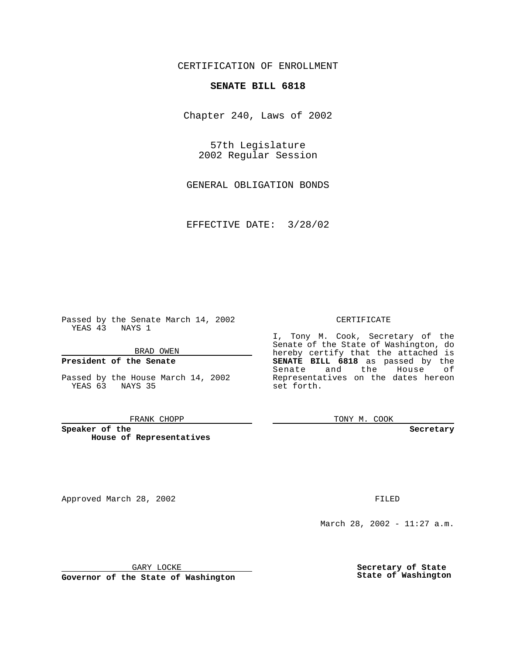## CERTIFICATION OF ENROLLMENT

# **SENATE BILL 6818**

Chapter 240, Laws of 2002

57th Legislature 2002 Regular Session

GENERAL OBLIGATION BONDS

EFFECTIVE DATE: 3/28/02

Passed by the Senate March 14, 2002 YEAS 43 NAYS 1

BRAD OWEN

### **President of the Senate**

Passed by the House March 14, 2002 YEAS 63 NAYS 35

#### FRANK CHOPP

**Speaker of the House of Representatives**

Approved March 28, 2002 **FILED** 

#### CERTIFICATE

I, Tony M. Cook, Secretary of the Senate of the State of Washington, do hereby certify that the attached is **SENATE BILL 6818** as passed by the Senate and the House of Representatives on the dates hereon set forth.

TONY M. COOK

**Secretary**

March 28, 2002 - 11:27 a.m.

GARY LOCKE

**Governor of the State of Washington**

**Secretary of State State of Washington**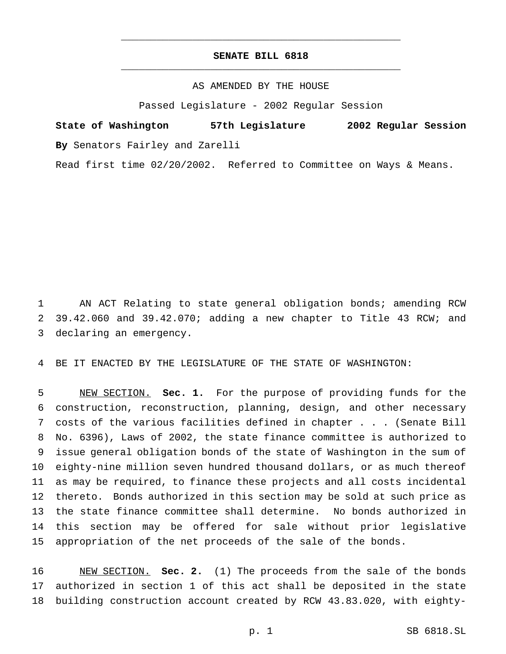## **SENATE BILL 6818** \_\_\_\_\_\_\_\_\_\_\_\_\_\_\_\_\_\_\_\_\_\_\_\_\_\_\_\_\_\_\_\_\_\_\_\_\_\_\_\_\_\_\_\_\_\_\_

\_\_\_\_\_\_\_\_\_\_\_\_\_\_\_\_\_\_\_\_\_\_\_\_\_\_\_\_\_\_\_\_\_\_\_\_\_\_\_\_\_\_\_\_\_\_\_

### AS AMENDED BY THE HOUSE

Passed Legislature - 2002 Regular Session

**State of Washington 57th Legislature 2002 Regular Session By** Senators Fairley and Zarelli

Read first time 02/20/2002. Referred to Committee on Ways & Means.

 AN ACT Relating to state general obligation bonds; amending RCW 39.42.060 and 39.42.070; adding a new chapter to Title 43 RCW; and declaring an emergency.

BE IT ENACTED BY THE LEGISLATURE OF THE STATE OF WASHINGTON:

 NEW SECTION. **Sec. 1.** For the purpose of providing funds for the construction, reconstruction, planning, design, and other necessary costs of the various facilities defined in chapter... (Senate Bill No. 6396), Laws of 2002, the state finance committee is authorized to issue general obligation bonds of the state of Washington in the sum of eighty-nine million seven hundred thousand dollars, or as much thereof as may be required, to finance these projects and all costs incidental thereto. Bonds authorized in this section may be sold at such price as the state finance committee shall determine. No bonds authorized in this section may be offered for sale without prior legislative appropriation of the net proceeds of the sale of the bonds.

 NEW SECTION. **Sec. 2.** (1) The proceeds from the sale of the bonds authorized in section 1 of this act shall be deposited in the state building construction account created by RCW 43.83.020, with eighty-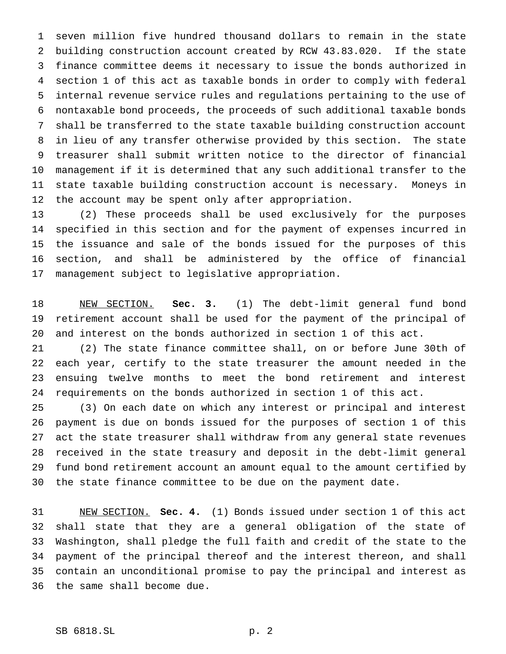seven million five hundred thousand dollars to remain in the state building construction account created by RCW 43.83.020. If the state finance committee deems it necessary to issue the bonds authorized in section 1 of this act as taxable bonds in order to comply with federal internal revenue service rules and regulations pertaining to the use of nontaxable bond proceeds, the proceeds of such additional taxable bonds shall be transferred to the state taxable building construction account in lieu of any transfer otherwise provided by this section. The state treasurer shall submit written notice to the director of financial management if it is determined that any such additional transfer to the state taxable building construction account is necessary. Moneys in the account may be spent only after appropriation.

 (2) These proceeds shall be used exclusively for the purposes specified in this section and for the payment of expenses incurred in the issuance and sale of the bonds issued for the purposes of this section, and shall be administered by the office of financial management subject to legislative appropriation.

 NEW SECTION. **Sec. 3.** (1) The debt-limit general fund bond retirement account shall be used for the payment of the principal of and interest on the bonds authorized in section 1 of this act.

 (2) The state finance committee shall, on or before June 30th of each year, certify to the state treasurer the amount needed in the ensuing twelve months to meet the bond retirement and interest requirements on the bonds authorized in section 1 of this act.

 (3) On each date on which any interest or principal and interest payment is due on bonds issued for the purposes of section 1 of this act the state treasurer shall withdraw from any general state revenues received in the state treasury and deposit in the debt-limit general fund bond retirement account an amount equal to the amount certified by the state finance committee to be due on the payment date.

 NEW SECTION. **Sec. 4.** (1) Bonds issued under section 1 of this act shall state that they are a general obligation of the state of Washington, shall pledge the full faith and credit of the state to the payment of the principal thereof and the interest thereon, and shall contain an unconditional promise to pay the principal and interest as the same shall become due.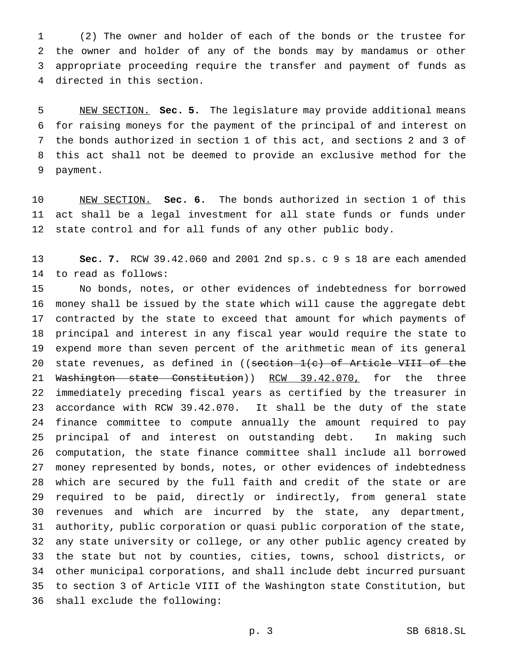(2) The owner and holder of each of the bonds or the trustee for the owner and holder of any of the bonds may by mandamus or other appropriate proceeding require the transfer and payment of funds as directed in this section.

 NEW SECTION. **Sec. 5.** The legislature may provide additional means for raising moneys for the payment of the principal of and interest on the bonds authorized in section 1 of this act, and sections 2 and 3 of this act shall not be deemed to provide an exclusive method for the payment.

 NEW SECTION. **Sec. 6.** The bonds authorized in section 1 of this act shall be a legal investment for all state funds or funds under 12 state control and for all funds of any other public body.

 **Sec. 7.** RCW 39.42.060 and 2001 2nd sp.s. c 9 s 18 are each amended to read as follows:

 No bonds, notes, or other evidences of indebtedness for borrowed money shall be issued by the state which will cause the aggregate debt contracted by the state to exceed that amount for which payments of principal and interest in any fiscal year would require the state to expend more than seven percent of the arithmetic mean of its general 20 state revenues, as defined in  $($  section  $1(c)$  of Article VIII of the 21 Washington state Constitution)) RCW 39.42.070, for the three immediately preceding fiscal years as certified by the treasurer in accordance with RCW 39.42.070. It shall be the duty of the state finance committee to compute annually the amount required to pay principal of and interest on outstanding debt. In making such computation, the state finance committee shall include all borrowed money represented by bonds, notes, or other evidences of indebtedness which are secured by the full faith and credit of the state or are required to be paid, directly or indirectly, from general state revenues and which are incurred by the state, any department, authority, public corporation or quasi public corporation of the state, any state university or college, or any other public agency created by the state but not by counties, cities, towns, school districts, or other municipal corporations, and shall include debt incurred pursuant to section 3 of Article VIII of the Washington state Constitution, but shall exclude the following: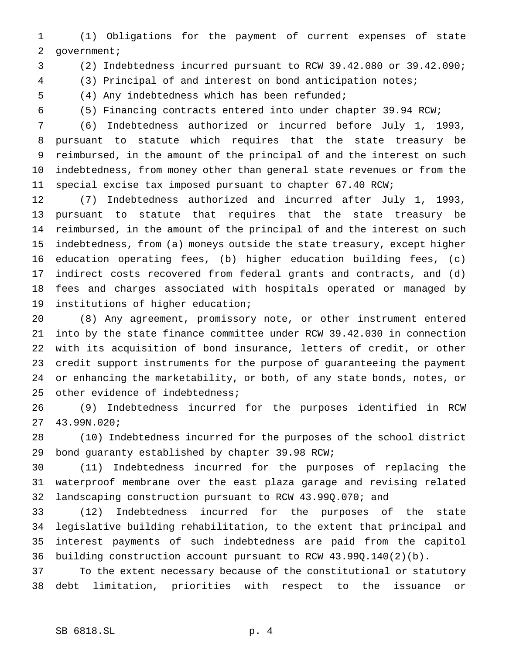(1) Obligations for the payment of current expenses of state government;

(2) Indebtedness incurred pursuant to RCW 39.42.080 or 39.42.090;

(3) Principal of and interest on bond anticipation notes;

(4) Any indebtedness which has been refunded;

(5) Financing contracts entered into under chapter 39.94 RCW;

 (6) Indebtedness authorized or incurred before July 1, 1993, pursuant to statute which requires that the state treasury be reimbursed, in the amount of the principal of and the interest on such indebtedness, from money other than general state revenues or from the special excise tax imposed pursuant to chapter 67.40 RCW;

 (7) Indebtedness authorized and incurred after July 1, 1993, pursuant to statute that requires that the state treasury be reimbursed, in the amount of the principal of and the interest on such indebtedness, from (a) moneys outside the state treasury, except higher education operating fees, (b) higher education building fees, (c) indirect costs recovered from federal grants and contracts, and (d) fees and charges associated with hospitals operated or managed by institutions of higher education;

 (8) Any agreement, promissory note, or other instrument entered into by the state finance committee under RCW 39.42.030 in connection with its acquisition of bond insurance, letters of credit, or other credit support instruments for the purpose of guaranteeing the payment or enhancing the marketability, or both, of any state bonds, notes, or 25 other evidence of indebtedness;

 (9) Indebtedness incurred for the purposes identified in RCW 43.99N.020;

 (10) Indebtedness incurred for the purposes of the school district bond guaranty established by chapter 39.98 RCW;

 (11) Indebtedness incurred for the purposes of replacing the waterproof membrane over the east plaza garage and revising related landscaping construction pursuant to RCW 43.99Q.070; and

 (12) Indebtedness incurred for the purposes of the state legislative building rehabilitation, to the extent that principal and interest payments of such indebtedness are paid from the capitol building construction account pursuant to RCW 43.99Q.140(2)(b).

 To the extent necessary because of the constitutional or statutory debt limitation, priorities with respect to the issuance or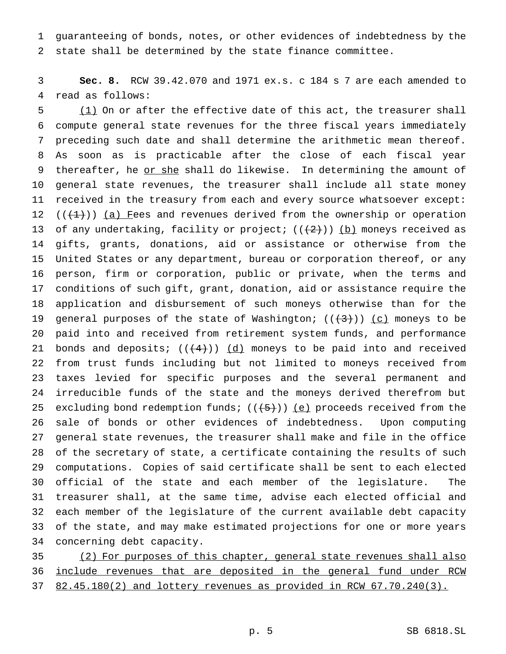guaranteeing of bonds, notes, or other evidences of indebtedness by the state shall be determined by the state finance committee.

 **Sec. 8.** RCW 39.42.070 and 1971 ex.s. c 184 s 7 are each amended to read as follows:

 (1) On or after the effective date of this act, the treasurer shall compute general state revenues for the three fiscal years immediately preceding such date and shall determine the arithmetic mean thereof. As soon as is practicable after the close of each fiscal year 9 thereafter, he or she shall do likewise. In determining the amount of general state revenues, the treasurer shall include all state money received in the treasury from each and every source whatsoever except:  $((+1))$  (a) Fees and revenues derived from the ownership or operation 13 of any undertaking, facility or project;  $((+2))$  (b) moneys received as gifts, grants, donations, aid or assistance or otherwise from the United States or any department, bureau or corporation thereof, or any person, firm or corporation, public or private, when the terms and conditions of such gift, grant, donation, aid or assistance require the application and disbursement of such moneys otherwise than for the 19 general purposes of the state of Washington;  $((+3))$  (c) moneys to be paid into and received from retirement system funds, and performance 21 bonds and deposits;  $((+4))$   $(d)$  moneys to be paid into and received from trust funds including but not limited to moneys received from taxes levied for specific purposes and the several permanent and irreducible funds of the state and the moneys derived therefrom but 25 excluding bond redemption funds;  $((+5))$  (e) proceeds received from the sale of bonds or other evidences of indebtedness. Upon computing general state revenues, the treasurer shall make and file in the office of the secretary of state, a certificate containing the results of such computations. Copies of said certificate shall be sent to each elected official of the state and each member of the legislature. The treasurer shall, at the same time, advise each elected official and each member of the legislature of the current available debt capacity of the state, and may make estimated projections for one or more years concerning debt capacity.

 (2) For purposes of this chapter, general state revenues shall also include revenues that are deposited in the general fund under RCW 37 82.45.180(2) and lottery revenues as provided in RCW 67.70.240(3).